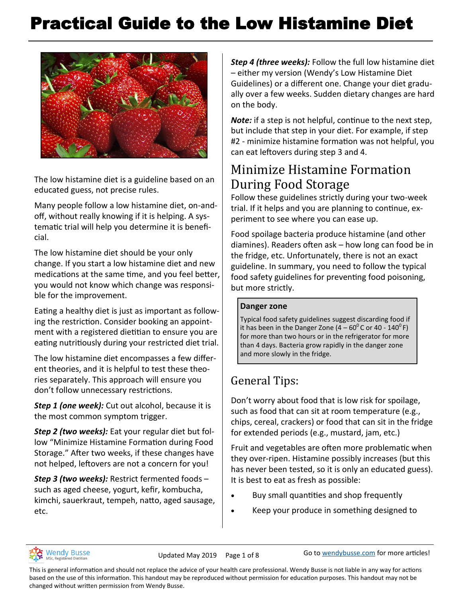# Practical Guide to the Low Histamine Diet



The low histamine diet is a guideline based on an educated guess, not precise rules.

Many people follow a low histamine diet, on-andoff, without really knowing if it is helping. A systematic trial will help you determine it is beneficial.

The low histamine diet should be your only change. If you start a low histamine diet and new medications at the same time, and you feel better, you would not know which change was responsible for the improvement.

Eating a healthy diet is just as important as following the restriction. Consider booking an appointment with a registered dietitian to ensure you are eating nutritiously during your restricted diet trial.

The low histamine diet encompasses a few different theories, and it is helpful to test these theories separately. This approach will ensure you don't follow unnecessary restrictions.

*Step 1 (one week):* Cut out alcohol, because it is the most common symptom trigger.

*Step 2 (two weeks):* Eat your regular diet but follow "Minimize Histamine Formation during Food Storage." After two weeks, if these changes have not helped, leftovers are not a concern for you!

*Step 3 (two weeks):* Restrict fermented foods – such as aged cheese, yogurt, kefir, kombucha, kimchi, sauerkraut, tempeh, natto, aged sausage, etc.

*Step 4 (three weeks):* Follow the full low histamine diet – either my version (Wendy's Low Histamine Diet Guidelines) or a different one. Change your diet gradually over a few weeks. Sudden dietary changes are hard on the body.

*Note:* if a step is not helpful, continue to the next step, but include that step in your diet. For example, if step #2 - minimize histamine formation was not helpful, you can eat leftovers during step 3 and 4.

### Minimize Histamine Formation During Food Storage

Follow these guidelines strictly during your two-week trial. If it helps and you are planning to continue, experiment to see where you can ease up.

Food spoilage bacteria produce histamine (and other diamines). Readers often ask – how long can food be in the fridge, etc. Unfortunately, there is not an exact guideline. In summary, you need to follow the typical food safety guidelines for preventing food poisoning, but more strictly.

#### **Danger zone**

[Typical food safety guidelines](https://www.nlm.nih.gov/medlineplus/ency/article/007441.htm) suggest discarding food if it has been in the Danger Zone  $(4 - 60^{\circ}$ C or 40 - 140 $^{\circ}$  F) for more than two hours or in the refrigerator for more than 4 days. Bacteria grow rapidly in the danger zone and more slowly in the fridge.

### General Tips:

Don't worry about food that is low risk for spoilage, such as food that can sit at room temperature (e.g., chips, cereal, crackers) or food that can sit in the fridge for extended periods (e.g., mustard, jam, etc.)

Fruit and vegetables are often more problematic when they over-ripen. Histamine possibly increases (but this has never been tested, so it is only an educated guess). It is best to eat as fresh as possible:

- Buy small quantities and shop frequently
- Keep your produce in something designed to



Updated May 2019 Page 1 of 8 Go to [wendybusse.com](http://www.wendybusse.com/) for more articles!

This is general information and should not replace the advice of your health care professional. Wendy Busse is not liable in any way for actions based on the use of this information. This handout may be reproduced without permission for education purposes. This handout may not be changed without written permission from Wendy Busse.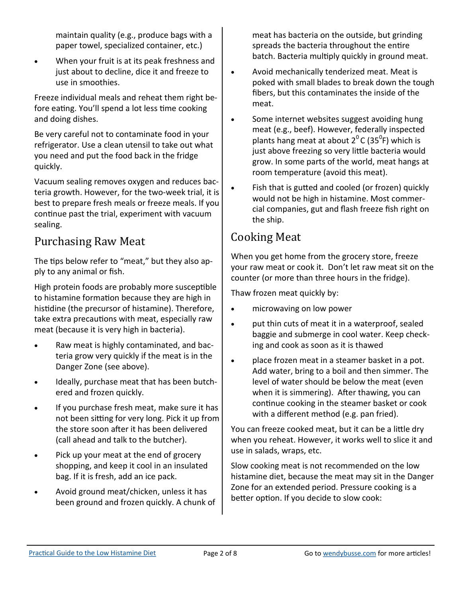maintain quality (e.g., produce bags with a paper towel, specialized container, etc.)

• When your fruit is at its peak freshness and just about to decline, dice it and freeze to use in smoothies.

Freeze individual meals and reheat them right before eating. You'll spend a lot less time cooking and doing dishes.

Be very careful not to contaminate food in your refrigerator. Use a clean utensil to take out what you need and put the food back in the fridge quickly.

Vacuum sealing removes oxygen and reduces bacteria growth. However, for the two-week trial, it is best to prepare fresh meals or freeze meals. If you continue past the trial, experiment with vacuum sealing.

### Purchasing Raw Meat

The tips below refer to "meat," but they also apply to any animal or fish.

High protein foods are probably more susceptible to histamine formation because they are high in histidine (the precursor of histamine). Therefore, take extra precautions with meat, especially raw meat (because it is very high in bacteria).

- Raw meat is highly contaminated, and bacteria grow very quickly if the meat is in the Danger Zone (see above).
- Ideally, purchase meat that has been butchered and frozen quickly.
- If you purchase fresh meat, make sure it has not been sitting for very long. Pick it up from the store soon after it has been delivered (call ahead and talk to the butcher).
- Pick up your meat at the end of grocery shopping, and keep it cool in an insulated bag. If it is fresh, add an ice pack.
- Avoid ground meat/chicken, unless it has been ground and frozen quickly. A chunk of

meat has bacteria on the outside, but grinding spreads the bacteria throughout the entire batch. Bacteria multiply quickly in ground meat.

- Avoid mechanically tenderized meat. Meat is poked with small blades to break down the tough fibers, but this contaminates the inside of the meat.
- Some internet websites suggest avoiding hung meat (e.g., beef). However, federally inspected plants hang meat at about 2<sup>0</sup> C (35<sup>0</sup>F) which is just above freezing so very little bacteria would grow. In some parts of the world, meat hangs at room temperature (avoid this meat).
- Fish that is gutted and cooled (or frozen) quickly would not be high in histamine. Most commercial companies, gut and flash freeze fish right on the ship.

### Cooking Meat

When you get home from the grocery store, freeze your raw meat or cook it. Don't let raw meat sit on the counter (or more than three hours in the fridge).

Thaw frozen meat quickly by:

- microwaving on low power
- put thin cuts of meat it in a waterproof, sealed baggie and submerge in cool water. Keep checking and cook as soon as it is thawed
- place frozen meat in a steamer basket in a pot. Add water, bring to a boil and then simmer. The level of water should be below the meat (even when it is simmering). After thawing, you can continue cooking in the steamer basket or cook with a different method (e.g. pan fried).

You can freeze cooked meat, but it can be a little dry when you reheat. However, it works well to slice it and use in salads, wraps, etc.

Slow cooking meat is not recommended on the low histamine diet, because the meat may sit in the Danger Zone for an extended period. Pressure cooking is a better option. If you decide to slow cook: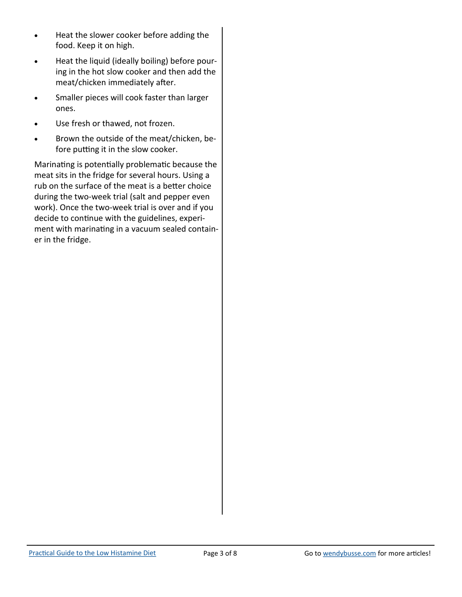- Heat the slower cooker before adding the food. Keep it on high.
- Heat the liquid (ideally boiling) before pouring in the hot slow cooker and then add the meat/chicken immediately after.
- Smaller pieces will cook faster than larger ones.
- Use fresh or thawed, not frozen.
- Brown the outside of the meat/chicken, before putting it in the slow cooker.

Marinating is potentially problematic because the meat sits in the fridge for several hours. Using a rub on the surface of the meat is a better choice during the two-week trial (salt and pepper even work). Once the two-week trial is over and if you decide to continue with the guidelines, experiment with marinating in a vacuum sealed container in the fridge.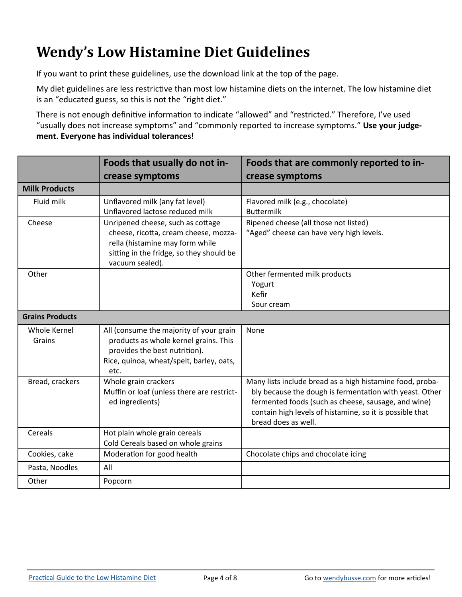## **Wendy's Low Histamine Diet Guidelines**

If you want to print these guidelines, use the download link at the top of the page.

My diet guidelines are less restrictive than most low histamine diets on the internet. The low histamine diet is an "educated guess, so this is not the "right diet."

There is not enough definitive information to indicate "allowed" and "restricted." Therefore, I've used "usually does not increase symptoms" and "commonly reported to increase symptoms." **Use your judgement. Everyone has individual tolerances!**

|                        | Foods that usually do not in-                                                                                                                                                | Foods that are commonly reported to in-                                                                                                                                                                                                                        |  |
|------------------------|------------------------------------------------------------------------------------------------------------------------------------------------------------------------------|----------------------------------------------------------------------------------------------------------------------------------------------------------------------------------------------------------------------------------------------------------------|--|
|                        | crease symptoms                                                                                                                                                              | crease symptoms                                                                                                                                                                                                                                                |  |
| <b>Milk Products</b>   |                                                                                                                                                                              |                                                                                                                                                                                                                                                                |  |
| Fluid milk             | Unflavored milk (any fat level)<br>Unflavored lactose reduced milk                                                                                                           | Flavored milk (e.g., chocolate)<br><b>Buttermilk</b>                                                                                                                                                                                                           |  |
| Cheese                 | Unripened cheese, such as cottage<br>cheese, ricotta, cream cheese, mozza-<br>rella (histamine may form while<br>sitting in the fridge, so they should be<br>vacuum sealed). | Ripened cheese (all those not listed)<br>"Aged" cheese can have very high levels.                                                                                                                                                                              |  |
| Other                  |                                                                                                                                                                              | Other fermented milk products<br>Yogurt<br>Kefir<br>Sour cream                                                                                                                                                                                                 |  |
| <b>Grains Products</b> |                                                                                                                                                                              |                                                                                                                                                                                                                                                                |  |
| Whole Kernel<br>Grains | All (consume the majority of your grain<br>products as whole kernel grains. This<br>provides the best nutrition).<br>Rice, quinoa, wheat/spelt, barley, oats,<br>etc.        | None                                                                                                                                                                                                                                                           |  |
| Bread, crackers        | Whole grain crackers<br>Muffin or loaf (unless there are restrict-<br>ed ingredients)                                                                                        | Many lists include bread as a high histamine food, proba-<br>bly because the dough is fermentation with yeast. Other<br>fermented foods (such as cheese, sausage, and wine)<br>contain high levels of histamine, so it is possible that<br>bread does as well. |  |
| Cereals                | Hot plain whole grain cereals<br>Cold Cereals based on whole grains                                                                                                          |                                                                                                                                                                                                                                                                |  |
| Cookies, cake          | Moderation for good health                                                                                                                                                   | Chocolate chips and chocolate icing                                                                                                                                                                                                                            |  |
| Pasta, Noodles         | All                                                                                                                                                                          |                                                                                                                                                                                                                                                                |  |
| Other                  | Popcorn                                                                                                                                                                      |                                                                                                                                                                                                                                                                |  |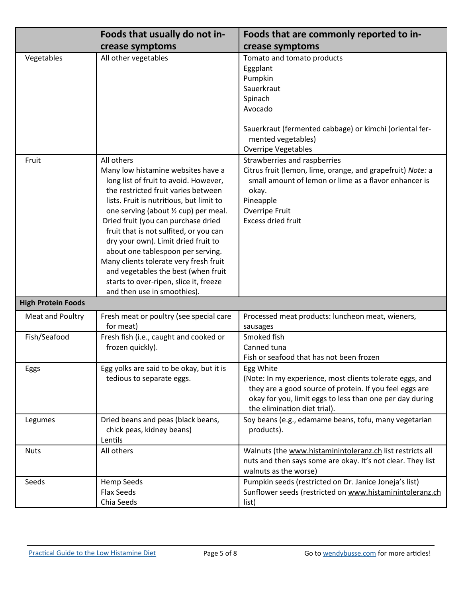|                           | Foods that usually do not in-                                                                                                                                                                                                                                                                                                                                                                                                                                                                                                                | Foods that are commonly reported to in-                                                                                                                                                                                      |  |
|---------------------------|----------------------------------------------------------------------------------------------------------------------------------------------------------------------------------------------------------------------------------------------------------------------------------------------------------------------------------------------------------------------------------------------------------------------------------------------------------------------------------------------------------------------------------------------|------------------------------------------------------------------------------------------------------------------------------------------------------------------------------------------------------------------------------|--|
|                           | crease symptoms                                                                                                                                                                                                                                                                                                                                                                                                                                                                                                                              | crease symptoms                                                                                                                                                                                                              |  |
| Vegetables                | All other vegetables                                                                                                                                                                                                                                                                                                                                                                                                                                                                                                                         | Tomato and tomato products<br>Eggplant<br>Pumpkin<br>Sauerkraut<br>Spinach<br>Avocado<br>Sauerkraut (fermented cabbage) or kimchi (oriental fer-<br>mented vegetables)<br><b>Overripe Vegetables</b>                         |  |
| Fruit                     | All others<br>Many low histamine websites have a<br>long list of fruit to avoid. However,<br>the restricted fruit varies between<br>lists. Fruit is nutritious, but limit to<br>one serving (about 1/2 cup) per meal.<br>Dried fruit (you can purchase dried<br>fruit that is not sulfited, or you can<br>dry your own). Limit dried fruit to<br>about one tablespoon per serving.<br>Many clients tolerate very fresh fruit<br>and vegetables the best (when fruit<br>starts to over-ripen, slice it, freeze<br>and then use in smoothies). | Strawberries and raspberries<br>Citrus fruit (lemon, lime, orange, and grapefruit) Note: a<br>small amount of lemon or lime as a flavor enhancer is<br>okay.<br>Pineapple<br>Overripe Fruit<br><b>Excess dried fruit</b>     |  |
| <b>High Protein Foods</b> |                                                                                                                                                                                                                                                                                                                                                                                                                                                                                                                                              |                                                                                                                                                                                                                              |  |
| Meat and Poultry          | Fresh meat or poultry (see special care<br>for meat)                                                                                                                                                                                                                                                                                                                                                                                                                                                                                         | Processed meat products: luncheon meat, wieners,<br>sausages                                                                                                                                                                 |  |
| Fish/Seafood              | Fresh fish (i.e., caught and cooked or<br>frozen quickly).                                                                                                                                                                                                                                                                                                                                                                                                                                                                                   | Smoked fish<br>Canned tuna<br>Fish or seafood that has not been frozen                                                                                                                                                       |  |
| Eggs                      | Egg yolks are said to be okay, but it is<br>tedious to separate eggs.                                                                                                                                                                                                                                                                                                                                                                                                                                                                        | Egg White<br>(Note: In my experience, most clients tolerate eggs, and<br>they are a good source of protein. If you feel eggs are<br>okay for you, limit eggs to less than one per day during<br>the elimination diet trial). |  |
| Legumes                   | Dried beans and peas (black beans,<br>chick peas, kidney beans)<br>Lentils                                                                                                                                                                                                                                                                                                                                                                                                                                                                   | Soy beans (e.g., edamame beans, tofu, many vegetarian<br>products).                                                                                                                                                          |  |
| <b>Nuts</b>               | All others                                                                                                                                                                                                                                                                                                                                                                                                                                                                                                                                   | Walnuts (the www.histaminintoleranz.ch list restricts all<br>nuts and then says some are okay. It's not clear. They list<br>walnuts as the worse)                                                                            |  |
| Seeds                     | Hemp Seeds<br><b>Flax Seeds</b><br>Chia Seeds                                                                                                                                                                                                                                                                                                                                                                                                                                                                                                | Pumpkin seeds (restricted on Dr. Janice Joneja's list)<br>Sunflower seeds (restricted on www.histaminintoleranz.ch<br>list)                                                                                                  |  |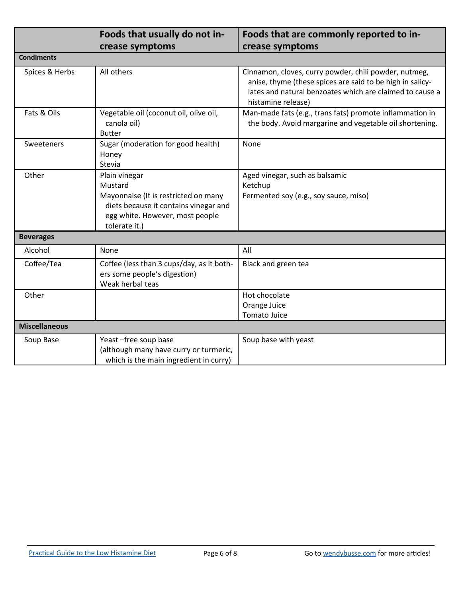|                      | Foods that usually do not in-                                                                                                                                 | Foods that are commonly reported to in-                                                                                                                                                              |  |  |  |
|----------------------|---------------------------------------------------------------------------------------------------------------------------------------------------------------|------------------------------------------------------------------------------------------------------------------------------------------------------------------------------------------------------|--|--|--|
|                      | crease symptoms                                                                                                                                               | crease symptoms                                                                                                                                                                                      |  |  |  |
| <b>Condiments</b>    |                                                                                                                                                               |                                                                                                                                                                                                      |  |  |  |
| Spices & Herbs       | All others                                                                                                                                                    | Cinnamon, cloves, curry powder, chili powder, nutmeg,<br>anise, thyme (these spices are said to be high in salicy-<br>lates and natural benzoates which are claimed to cause a<br>histamine release) |  |  |  |
| Fats & Oils          | Vegetable oil (coconut oil, olive oil,<br>canola oil)<br><b>Butter</b>                                                                                        | Man-made fats (e.g., trans fats) promote inflammation in<br>the body. Avoid margarine and vegetable oil shortening.                                                                                  |  |  |  |
| Sweeteners           | Sugar (moderation for good health)<br>Honey<br>Stevia                                                                                                         | None                                                                                                                                                                                                 |  |  |  |
| Other                | Plain vinegar<br>Mustard<br>Mayonnaise (It is restricted on many<br>diets because it contains vinegar and<br>egg white. However, most people<br>tolerate it.) | Aged vinegar, such as balsamic<br>Ketchup<br>Fermented soy (e.g., soy sauce, miso)                                                                                                                   |  |  |  |
| <b>Beverages</b>     |                                                                                                                                                               |                                                                                                                                                                                                      |  |  |  |
| Alcohol              | None                                                                                                                                                          | All                                                                                                                                                                                                  |  |  |  |
| Coffee/Tea           | Coffee (less than 3 cups/day, as it both-<br>ers some people's digestion)<br>Weak herbal teas                                                                 | Black and green tea                                                                                                                                                                                  |  |  |  |
| Other                |                                                                                                                                                               | Hot chocolate<br>Orange Juice<br><b>Tomato Juice</b>                                                                                                                                                 |  |  |  |
| <b>Miscellaneous</b> |                                                                                                                                                               |                                                                                                                                                                                                      |  |  |  |
| Soup Base            | Yeast-free soup base<br>(although many have curry or turmeric,<br>which is the main ingredient in curry)                                                      | Soup base with yeast                                                                                                                                                                                 |  |  |  |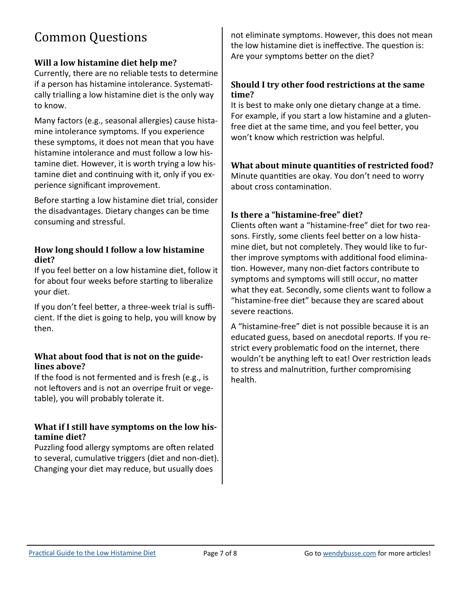## Common Questions

#### **Will a low histamine diet help me?**

Currently, there are no reliable tests to determine if a person has histamine intolerance. Systematically trialling a low histamine diet is the only way to know.

Many factors (e.g., seasonal allergies) cause histamine intolerance symptoms. If you experience these symptoms, it does not mean that you have histamine intolerance and must follow a low histamine diet. However, it is worth trying a low histamine diet and continuing with it, only if you experience significant improvement.

Before starting a low histamine diet trial, consider the disadvantages. Dietary changes can be time consuming and stressful.

#### **How long should I follow a low histamine diet?**

If you feel better on a low histamine diet, follow it for about four weeks before starting to liberalize your diet.

If you don't feel better, a three-week trial is sufficient. If the diet is going to help, you will know by then.

#### **What about food that is not on the guidelines above?**

If the food is not fermented and is fresh (e.g., is not leftovers and is not an overripe fruit or vegetable), you will probably tolerate it.

#### **What if I still have symptoms on the low histamine diet?**

Puzzling food allergy symptoms are often related to several, cumulative triggers (diet and non-diet). Changing your diet may reduce, but usually does

not eliminate symptoms. However, this does not mean the low histamine diet is ineffective. The question is: Are your symptoms better on the diet?

#### **Should I try other food restrictions at the same time?**

It is best to make only one dietary change at a time. For example, if you start a low histamine and a glutenfree diet at the same time, and you feel better, you won't know which restriction was helpful.

**What about minute quantities of restricted food?**  Minute quantities are okay. You don't need to worry about cross contamination.

#### **Is there a "histamine-free" diet?**

Clients often want a "histamine-free" diet for two reasons. Firstly, some clients feel better on a low histamine diet, but not completely. They would like to further improve symptoms with additional food elimination. However, many non-diet factors contribute to symptoms and symptoms will still occur, no matter what they eat. Secondly, some clients want to follow a "histamine-free diet" because they are scared about severe reactions.

A "histamine-free" diet is not possible because it is an educated guess, based on anecdotal reports. If you restrict every problematic food on the internet, there wouldn't be anything left to eat! Over restriction leads to stress and malnutrition, further compromising health.